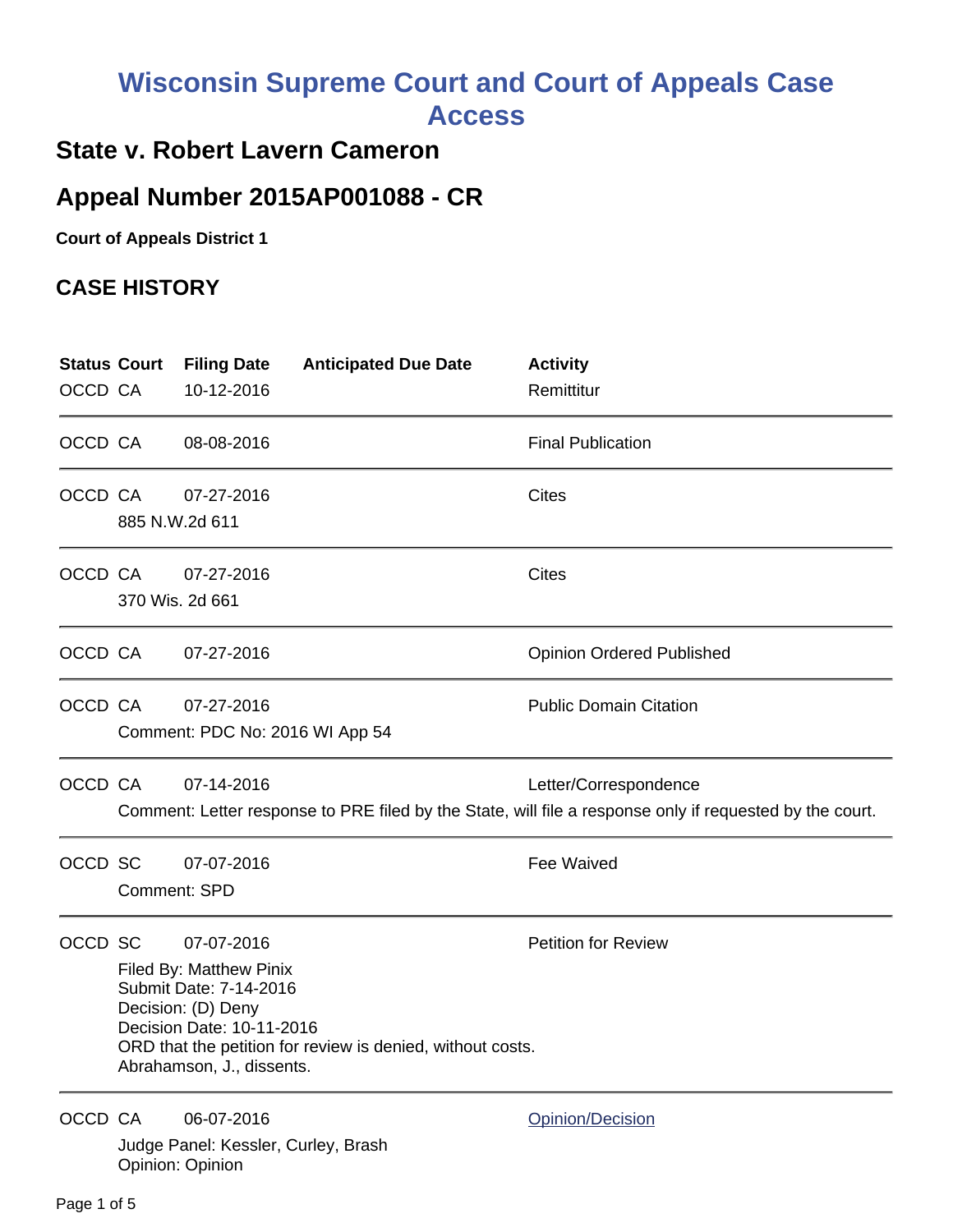## **Wisconsin Supreme Court and Court of Appeals Case Access**

## **State v. Robert Lavern Cameron**

## **Appeal Number 2015AP001088 - CR**

**Court of Appeals District 1**

## **CASE HISTORY**

| OCCD CA | <b>Status Court</b>                                                                                                                                                                                                                         | <b>Filing Date</b><br>10-12-2016                                      | <b>Anticipated Due Date</b> | <b>Activity</b><br>Remittitur                                                                                                     |
|---------|---------------------------------------------------------------------------------------------------------------------------------------------------------------------------------------------------------------------------------------------|-----------------------------------------------------------------------|-----------------------------|-----------------------------------------------------------------------------------------------------------------------------------|
| OCCD CA |                                                                                                                                                                                                                                             | 08-08-2016                                                            |                             | <b>Final Publication</b>                                                                                                          |
| OCCD CA |                                                                                                                                                                                                                                             | 07-27-2016<br>885 N.W.2d 611                                          |                             | Cites                                                                                                                             |
| OCCD CA |                                                                                                                                                                                                                                             | 07-27-2016<br>370 Wis. 2d 661                                         |                             | <b>Cites</b>                                                                                                                      |
| OCCD CA |                                                                                                                                                                                                                                             | 07-27-2016                                                            |                             | <b>Opinion Ordered Published</b>                                                                                                  |
| OCCD CA |                                                                                                                                                                                                                                             | 07-27-2016<br>Comment: PDC No: 2016 WI App 54                         |                             | <b>Public Domain Citation</b>                                                                                                     |
| OCCD CA |                                                                                                                                                                                                                                             | 07-14-2016                                                            |                             | Letter/Correspondence<br>Comment: Letter response to PRE filed by the State, will file a response only if requested by the court. |
| OCCD SC |                                                                                                                                                                                                                                             | 07-07-2016<br><b>Comment: SPD</b>                                     |                             | <b>Fee Waived</b>                                                                                                                 |
| OCCD SC | <b>Petition for Review</b><br>07-07-2016<br>Filed By: Matthew Pinix<br>Submit Date: 7-14-2016<br>Decision: (D) Deny<br>Decision Date: 10-11-2016<br>ORD that the petition for review is denied, without costs.<br>Abrahamson, J., dissents. |                                                                       |                             |                                                                                                                                   |
| OCCD CA |                                                                                                                                                                                                                                             | 06-07-2016<br>Judge Panel: Kessler, Curley, Brash<br>Opinion: Opinion |                             | Opinion/Decision                                                                                                                  |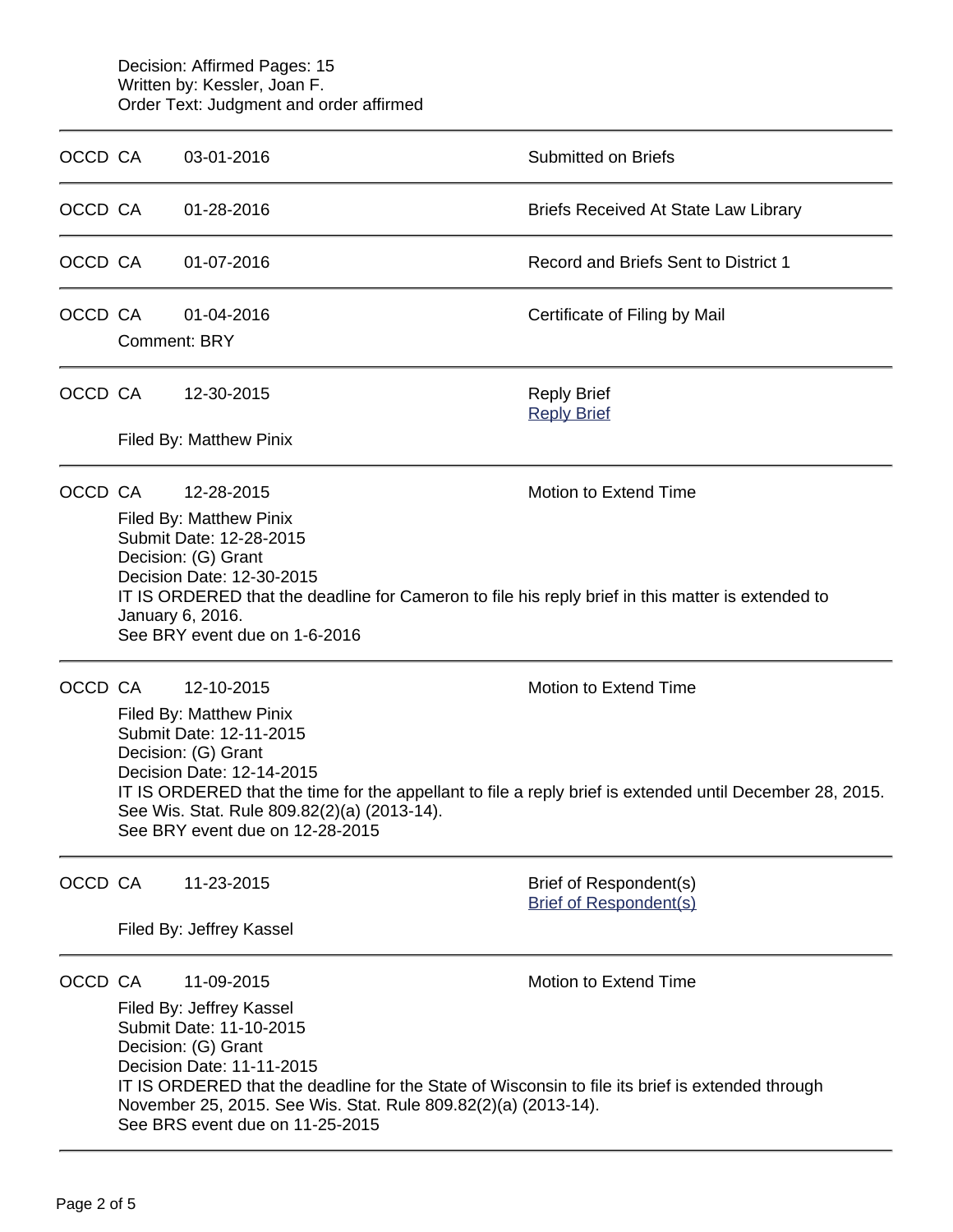Decision: Affirmed Pages: 15 Written by: Kessler, Joan F. Order Text: Judgment and order affirmed

| OCCD CA |                                                                                                                                                                                                                                                                                                                                                    | 03-01-2016                                                                                                                                                                                                                                                                                                                     | <b>Submitted on Briefs</b>                              |  |
|---------|----------------------------------------------------------------------------------------------------------------------------------------------------------------------------------------------------------------------------------------------------------------------------------------------------------------------------------------------------|--------------------------------------------------------------------------------------------------------------------------------------------------------------------------------------------------------------------------------------------------------------------------------------------------------------------------------|---------------------------------------------------------|--|
| OCCD CA |                                                                                                                                                                                                                                                                                                                                                    | 01-28-2016                                                                                                                                                                                                                                                                                                                     | <b>Briefs Received At State Law Library</b>             |  |
| OCCD CA |                                                                                                                                                                                                                                                                                                                                                    | 01-07-2016                                                                                                                                                                                                                                                                                                                     | Record and Briefs Sent to District 1                    |  |
| OCCD CA | <b>Comment: BRY</b>                                                                                                                                                                                                                                                                                                                                | 01-04-2016                                                                                                                                                                                                                                                                                                                     | Certificate of Filing by Mail                           |  |
| OCCD CA |                                                                                                                                                                                                                                                                                                                                                    | 12-30-2015<br>Filed By: Matthew Pinix                                                                                                                                                                                                                                                                                          | <b>Reply Brief</b><br><b>Reply Brief</b>                |  |
| OCCD CA |                                                                                                                                                                                                                                                                                                                                                    | Motion to Extend Time<br>12-28-2015<br>Filed By: Matthew Pinix<br>Submit Date: 12-28-2015<br>Decision: (G) Grant<br>Decision Date: 12-30-2015<br>IT IS ORDERED that the deadline for Cameron to file his reply brief in this matter is extended to<br>January 6, 2016.<br>See BRY event due on 1-6-2016                        |                                                         |  |
| OCCD CA | 12-10-2015<br><b>Motion to Extend Time</b><br>Filed By: Matthew Pinix<br>Submit Date: 12-11-2015<br>Decision: (G) Grant<br>Decision Date: 12-14-2015<br>IT IS ORDERED that the time for the appellant to file a reply brief is extended until December 28, 2015.<br>See Wis. Stat. Rule 809.82(2)(a) (2013-14).<br>See BRY event due on 12-28-2015 |                                                                                                                                                                                                                                                                                                                                |                                                         |  |
| OCCD CA |                                                                                                                                                                                                                                                                                                                                                    | 11-23-2015<br>Filed By: Jeffrey Kassel                                                                                                                                                                                                                                                                                         | Brief of Respondent(s)<br><b>Brief of Respondent(s)</b> |  |
| OCCD CA |                                                                                                                                                                                                                                                                                                                                                    | 11-09-2015<br>Filed By: Jeffrey Kassel<br>Submit Date: 11-10-2015<br>Decision: (G) Grant<br>Decision Date: 11-11-2015<br>IT IS ORDERED that the deadline for the State of Wisconsin to file its brief is extended through<br>November 25, 2015. See Wis. Stat. Rule 809.82(2)(a) (2013-14).<br>See BRS event due on 11-25-2015 | Motion to Extend Time                                   |  |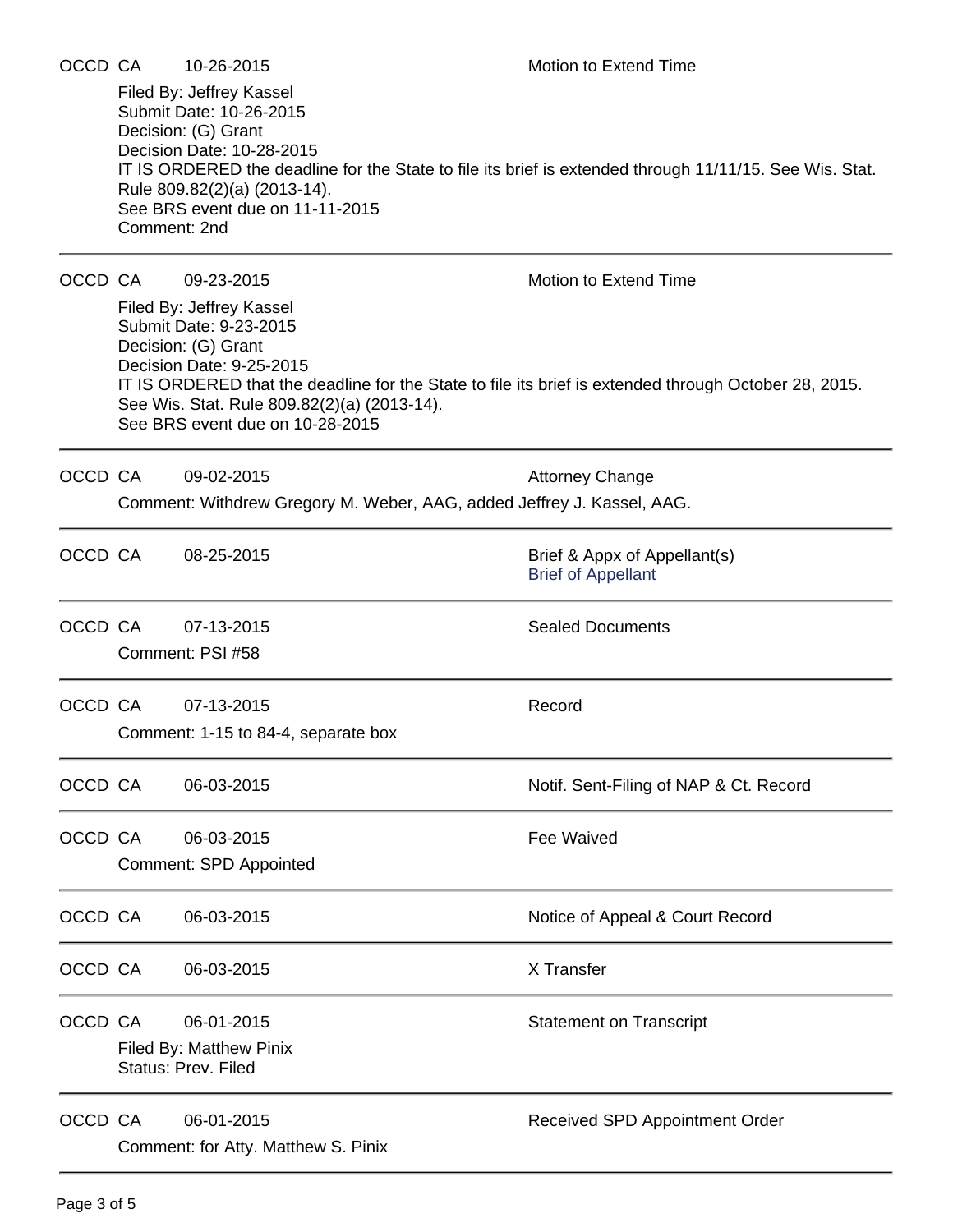| OCCD CA |                                                       | 10-26-2015                                                                                                                                                                              | Motion to Extend Time                                                                                   |  |  |  |  |
|---------|-------------------------------------------------------|-----------------------------------------------------------------------------------------------------------------------------------------------------------------------------------------|---------------------------------------------------------------------------------------------------------|--|--|--|--|
|         | Comment: 2nd                                          | Filed By: Jeffrey Kassel<br>Submit Date: 10-26-2015<br>Decision: (G) Grant<br>Decision Date: 10-28-2015<br>Rule 809.82(2)(a) (2013-14).<br>See BRS event due on 11-11-2015              | IT IS ORDERED the deadline for the State to file its brief is extended through 11/11/15. See Wis. Stat. |  |  |  |  |
| OCCD CA |                                                       | 09-23-2015                                                                                                                                                                              | Motion to Extend Time                                                                                   |  |  |  |  |
|         |                                                       | Filed By: Jeffrey Kassel<br>Submit Date: 9-23-2015<br>Decision: (G) Grant<br>Decision Date: 9-25-2015<br>See Wis. Stat. Rule 809.82(2)(a) (2013-14).<br>See BRS event due on 10-28-2015 | IT IS ORDERED that the deadline for the State to file its brief is extended through October 28, 2015.   |  |  |  |  |
| OCCD CA |                                                       | 09-02-2015                                                                                                                                                                              | <b>Attorney Change</b>                                                                                  |  |  |  |  |
|         |                                                       | Comment: Withdrew Gregory M. Weber, AAG, added Jeffrey J. Kassel, AAG.                                                                                                                  |                                                                                                         |  |  |  |  |
| OCCD CA |                                                       | 08-25-2015                                                                                                                                                                              | Brief & Appx of Appellant(s)<br><b>Brief of Appellant</b>                                               |  |  |  |  |
| OCCD CA |                                                       | 07-13-2015<br>Comment: PSI #58                                                                                                                                                          | <b>Sealed Documents</b>                                                                                 |  |  |  |  |
|         |                                                       |                                                                                                                                                                                         |                                                                                                         |  |  |  |  |
| OCCD CA |                                                       | 07-13-2015<br>Comment: 1-15 to 84-4, separate box                                                                                                                                       | Record                                                                                                  |  |  |  |  |
| OCCD CA |                                                       | 06-03-2015                                                                                                                                                                              | Notif. Sent-Filing of NAP & Ct. Record                                                                  |  |  |  |  |
| OCCD CA |                                                       | 06-03-2015                                                                                                                                                                              | <b>Fee Waived</b>                                                                                       |  |  |  |  |
|         | <b>Comment: SPD Appointed</b>                         |                                                                                                                                                                                         |                                                                                                         |  |  |  |  |
| OCCD CA |                                                       | 06-03-2015                                                                                                                                                                              | Notice of Appeal & Court Record                                                                         |  |  |  |  |
| OCCD CA |                                                       | 06-03-2015                                                                                                                                                                              | X Transfer                                                                                              |  |  |  |  |
| OCCD CA |                                                       | 06-01-2015                                                                                                                                                                              | <b>Statement on Transcript</b>                                                                          |  |  |  |  |
|         | Filed By: Matthew Pinix<br><b>Status: Prev. Filed</b> |                                                                                                                                                                                         |                                                                                                         |  |  |  |  |
| OCCD CA |                                                       | 06-01-2015                                                                                                                                                                              | Received SPD Appointment Order                                                                          |  |  |  |  |
|         | Comment: for Atty. Matthew S. Pinix                   |                                                                                                                                                                                         |                                                                                                         |  |  |  |  |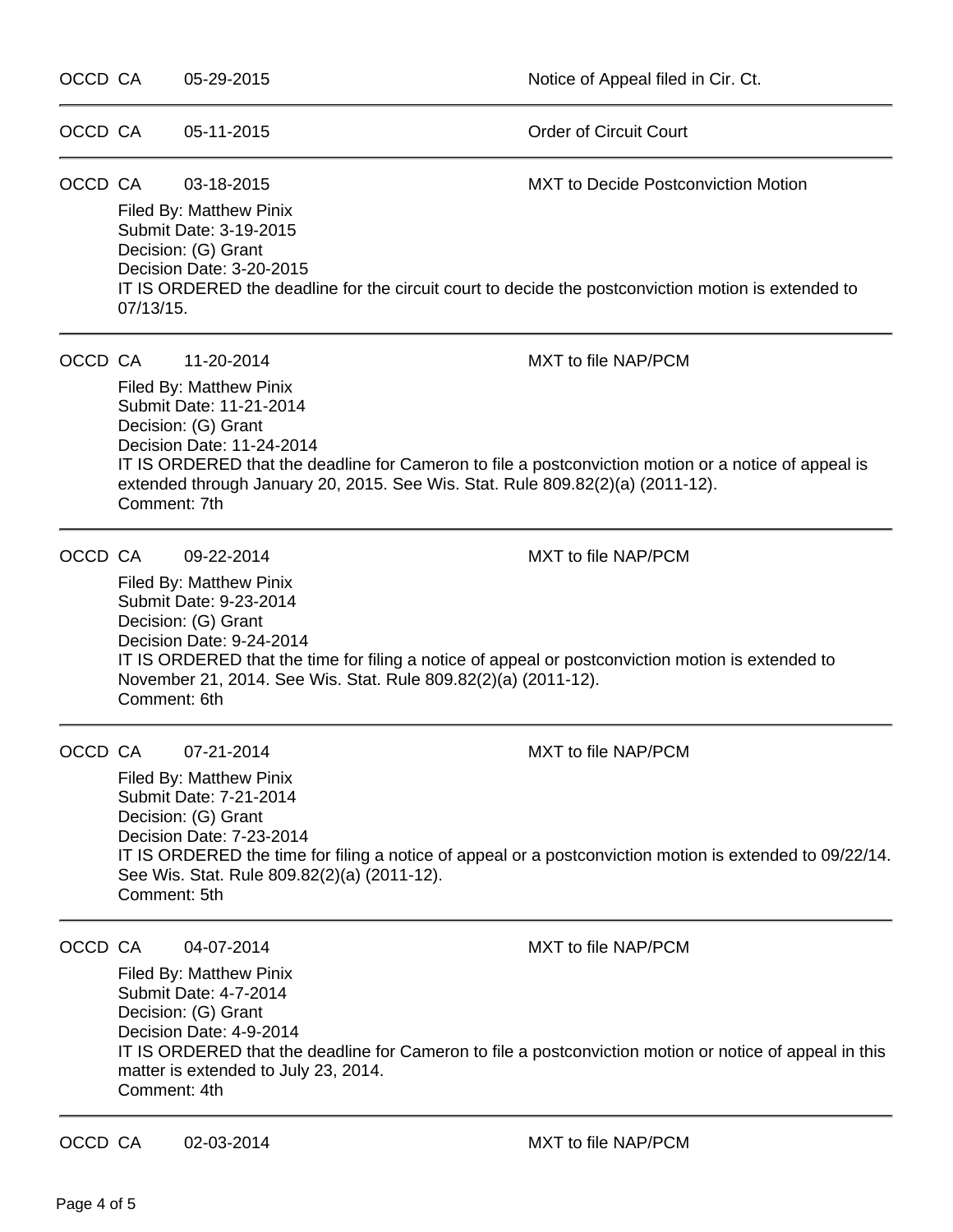| OCCD CA |                                                                                                                                                                                                                                                                                                                                                              | 05-29-2015                                                                                                                                               | Notice of Appeal filed in Cir. Ct.                                                                                                                                                                |  |  |
|---------|--------------------------------------------------------------------------------------------------------------------------------------------------------------------------------------------------------------------------------------------------------------------------------------------------------------------------------------------------------------|----------------------------------------------------------------------------------------------------------------------------------------------------------|---------------------------------------------------------------------------------------------------------------------------------------------------------------------------------------------------|--|--|
| OCCD CA |                                                                                                                                                                                                                                                                                                                                                              | 05-11-2015                                                                                                                                               | <b>Order of Circuit Court</b>                                                                                                                                                                     |  |  |
|         | OCCD CA<br>03-18-2015<br><b>MXT</b> to Decide Postconviction Motion<br>Filed By: Matthew Pinix<br>Submit Date: 3-19-2015<br>Decision: (G) Grant<br>Decision Date: 3-20-2015<br>IT IS ORDERED the deadline for the circuit court to decide the postconviction motion is extended to<br>07/13/15.                                                              |                                                                                                                                                          |                                                                                                                                                                                                   |  |  |
| OCCD CA | 11-20-2014<br><b>MXT</b> to file NAP/PCM<br>Filed By: Matthew Pinix<br>Submit Date: 11-21-2014<br>Decision: (G) Grant<br>Decision Date: 11-24-2014<br>IT IS ORDERED that the deadline for Cameron to file a postconviction motion or a notice of appeal is<br>extended through January 20, 2015. See Wis. Stat. Rule 809.82(2)(a) (2011-12).<br>Comment: 7th |                                                                                                                                                          |                                                                                                                                                                                                   |  |  |
| OCCD CA | Comment: 6th                                                                                                                                                                                                                                                                                                                                                 | 09-22-2014<br>Filed By: Matthew Pinix<br>Submit Date: 9-23-2014<br>Decision: (G) Grant<br>Decision Date: 9-24-2014                                       | <b>MXT</b> to file NAP/PCM<br>IT IS ORDERED that the time for filing a notice of appeal or postconviction motion is extended to<br>November 21, 2014. See Wis. Stat. Rule 809.82(2)(a) (2011-12). |  |  |
| OCCD CA | 07-21-2014<br><b>MXT to file NAP/PCM</b><br>Filed By: Matthew Pinix<br>Submit Date: 7-21-2014<br>Decision: (G) Grant<br>Decision Date: 7-23-2014<br>IT IS ORDERED the time for filing a notice of appeal or a postconviction motion is extended to 09/22/14.<br>See Wis. Stat. Rule 809.82(2)(a) (2011-12).<br>Comment: 5th                                  |                                                                                                                                                          |                                                                                                                                                                                                   |  |  |
| OCCD CA | Comment: 4th                                                                                                                                                                                                                                                                                                                                                 | 04-07-2014<br>Filed By: Matthew Pinix<br>Submit Date: 4-7-2014<br>Decision: (G) Grant<br>Decision Date: 4-9-2014<br>matter is extended to July 23, 2014. | <b>MXT</b> to file NAP/PCM<br>IT IS ORDERED that the deadline for Cameron to file a postconviction motion or notice of appeal in this                                                             |  |  |

OCCD CA 02-03-2014 MXT to file NAP/PCM